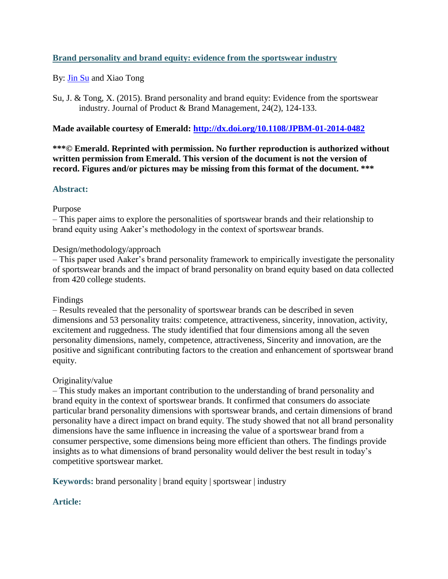# **Brand personality and brand equity: evidence from the sportswear industry**

## By: [Jin Su](http://libres.uncg.edu/ir/uncg/clist.aspx?id=13707) and Xiao Tong

Su, J. & Tong, X. (2015). Brand personality and brand equity: Evidence from the sportswear industry. Journal of Product & Brand Management, 24(2), 124-133.

## **Made available courtesy of Emerald:<http://dx.doi.org/10.1108/JPBM-01-2014-0482>**

**\*\*\*© Emerald. Reprinted with permission. No further reproduction is authorized without written permission from Emerald. This version of the document is not the version of record. Figures and/or pictures may be missing from this format of the document. \*\*\***

### **Abstract:**

### Purpose

– This paper aims to explore the personalities of sportswear brands and their relationship to brand equity using Aaker's methodology in the context of sportswear brands.

### Design/methodology/approach

– This paper used Aaker's brand personality framework to empirically investigate the personality of sportswear brands and the impact of brand personality on brand equity based on data collected from 420 college students.

### Findings

– Results revealed that the personality of sportswear brands can be described in seven dimensions and 53 personality traits: competence, attractiveness, sincerity, innovation, activity, excitement and ruggedness. The study identified that four dimensions among all the seven personality dimensions, namely, competence, attractiveness, Sincerity and innovation, are the positive and significant contributing factors to the creation and enhancement of sportswear brand equity.

### Originality/value

– This study makes an important contribution to the understanding of brand personality and brand equity in the context of sportswear brands. It confirmed that consumers do associate particular brand personality dimensions with sportswear brands, and certain dimensions of brand personality have a direct impact on brand equity. The study showed that not all brand personality dimensions have the same influence in increasing the value of a sportswear brand from a consumer perspective, some dimensions being more efficient than others. The findings provide insights as to what dimensions of brand personality would deliver the best result in today's competitive sportswear market.

**Keywords:** brand personality | brand equity | sportswear | industry

## **Article:**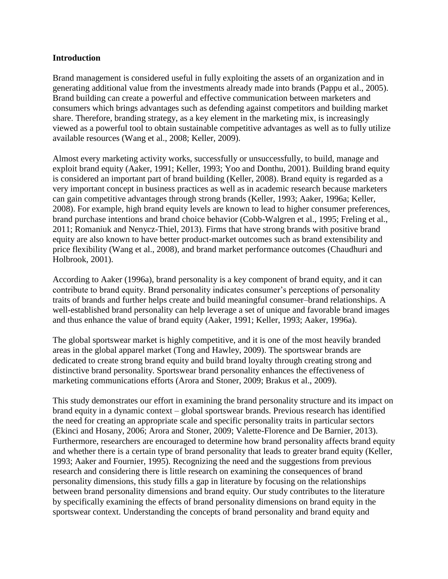### **Introduction**

Brand management is considered useful in fully exploiting the assets of an organization and in generating additional value from the investments already made into brands (Pappu et al., 2005). Brand building can create a powerful and effective communication between marketers and consumers which brings advantages such as defending against competitors and building market share. Therefore, branding strategy, as a key element in the marketing mix, is increasingly viewed as a powerful tool to obtain sustainable competitive advantages as well as to fully utilize available resources (Wang et al., 2008; Keller, 2009).

Almost every marketing activity works, successfully or unsuccessfully, to build, manage and exploit brand equity (Aaker, 1991; Keller, 1993; Yoo and Donthu, 2001). Building brand equity is considered an important part of brand building (Keller, 2008). Brand equity is regarded as a very important concept in business practices as well as in academic research because marketers can gain competitive advantages through strong brands (Keller, 1993; Aaker, 1996a; Keller, 2008). For example, high brand equity levels are known to lead to higher consumer preferences, brand purchase intentions and brand choice behavior (Cobb-Walgren et al., 1995; Freling et al., 2011; Romaniuk and Nenycz-Thiel, 2013). Firms that have strong brands with positive brand equity are also known to have better product-market outcomes such as brand extensibility and price flexibility (Wang et al., 2008), and brand market performance outcomes (Chaudhuri and Holbrook, 2001).

According to Aaker (1996a), brand personality is a key component of brand equity, and it can contribute to brand equity. Brand personality indicates consumer's perceptions of personality traits of brands and further helps create and build meaningful consumer–brand relationships. A well-established brand personality can help leverage a set of unique and favorable brand images and thus enhance the value of brand equity (Aaker, 1991; Keller, 1993; Aaker, 1996a).

The global sportswear market is highly competitive, and it is one of the most heavily branded areas in the global apparel market (Tong and Hawley, 2009). The sportswear brands are dedicated to create strong brand equity and build brand loyalty through creating strong and distinctive brand personality. Sportswear brand personality enhances the effectiveness of marketing communications efforts (Arora and Stoner, 2009; Brakus et al., 2009).

This study demonstrates our effort in examining the brand personality structure and its impact on brand equity in a dynamic context – global sportswear brands. Previous research has identified the need for creating an appropriate scale and specific personality traits in particular sectors (Ekinci and Hosany, 2006; Arora and Stoner, 2009; Valette-Florence and De Barnier, 2013). Furthermore, researchers are encouraged to determine how brand personality affects brand equity and whether there is a certain type of brand personality that leads to greater brand equity (Keller, 1993; Aaker and Fournier, 1995). Recognizing the need and the suggestions from previous research and considering there is little research on examining the consequences of brand personality dimensions, this study fills a gap in literature by focusing on the relationships between brand personality dimensions and brand equity. Our study contributes to the literature by specifically examining the effects of brand personality dimensions on brand equity in the sportswear context. Understanding the concepts of brand personality and brand equity and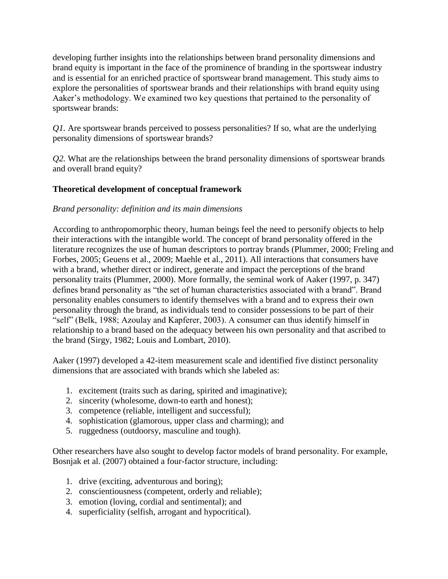developing further insights into the relationships between brand personality dimensions and brand equity is important in the face of the prominence of branding in the sportswear industry and is essential for an enriched practice of sportswear brand management. This study aims to explore the personalities of sportswear brands and their relationships with brand equity using Aaker's methodology. We examined two key questions that pertained to the personality of sportswear brands:

*Q1.* Are sportswear brands perceived to possess personalities? If so, what are the underlying personality dimensions of sportswear brands?

*Q2.* What are the relationships between the brand personality dimensions of sportswear brands and overall brand equity?

# **Theoretical development of conceptual framework**

# *Brand personality: definition and its main dimensions*

According to anthropomorphic theory, human beings feel the need to personify objects to help their interactions with the intangible world. The concept of brand personality offered in the literature recognizes the use of human descriptors to portray brands (Plummer, 2000; Freling and Forbes, 2005; Geuens et al., 2009; Maehle et al., 2011). All interactions that consumers have with a brand, whether direct or indirect, generate and impact the perceptions of the brand personality traits (Plummer, 2000). More formally, the seminal work of Aaker (1997, p. 347) defines brand personality as "the set of human characteristics associated with a brand". Brand personality enables consumers to identify themselves with a brand and to express their own personality through the brand, as individuals tend to consider possessions to be part of their "self" (Belk, 1988; Azoulay and Kapferer, 2003). A consumer can thus identify himself in relationship to a brand based on the adequacy between his own personality and that ascribed to the brand (Sirgy, 1982; Louis and Lombart, 2010).

Aaker (1997) developed a 42-item measurement scale and identified five distinct personality dimensions that are associated with brands which she labeled as:

- 1. excitement (traits such as daring, spirited and imaginative);
- 2. sincerity (wholesome, down-to earth and honest);
- 3. competence (reliable, intelligent and successful);
- 4. sophistication (glamorous, upper class and charming); and
- 5. ruggedness (outdoorsy, masculine and tough).

Other researchers have also sought to develop factor models of brand personality. For example, Bosnjak et al. (2007) obtained a four-factor structure, including:

- 1. drive (exciting, adventurous and boring);
- 2. conscientiousness (competent, orderly and reliable);
- 3. emotion (loving, cordial and sentimental); and
- 4. superficiality (selfish, arrogant and hypocritical).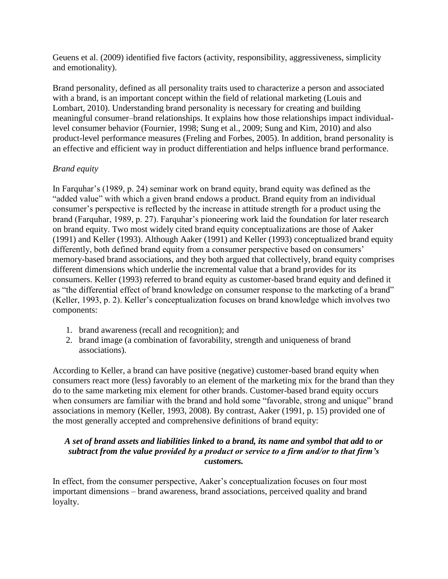Geuens et al. (2009) identified five factors (activity, responsibility, aggressiveness, simplicity and emotionality).

Brand personality, defined as all personality traits used to characterize a person and associated with a brand, is an important concept within the field of relational marketing (Louis and Lombart, 2010). Understanding brand personality is necessary for creating and building meaningful consumer–brand relationships. It explains how those relationships impact individuallevel consumer behavior (Fournier, 1998; Sung et al., 2009; Sung and Kim, 2010) and also product-level performance measures (Freling and Forbes, 2005). In addition, brand personality is an effective and efficient way in product differentiation and helps influence brand performance.

# *Brand equity*

In Farquhar's (1989, p. 24) seminar work on brand equity, brand equity was defined as the "added value" with which a given brand endows a product. Brand equity from an individual consumer's perspective is reflected by the increase in attitude strength for a product using the brand (Farquhar, 1989, p. 27). Farquhar's pioneering work laid the foundation for later research on brand equity. Two most widely cited brand equity conceptualizations are those of Aaker (1991) and Keller (1993). Although Aaker (1991) and Keller (1993) conceptualized brand equity differently, both defined brand equity from a consumer perspective based on consumers' memory-based brand associations, and they both argued that collectively, brand equity comprises different dimensions which underlie the incremental value that a brand provides for its consumers. Keller (1993) referred to brand equity as customer-based brand equity and defined it as "the differential effect of brand knowledge on consumer response to the marketing of a brand" (Keller, 1993, p. 2). Keller's conceptualization focuses on brand knowledge which involves two components:

- 1. brand awareness (recall and recognition); and
- 2. brand image (a combination of favorability, strength and uniqueness of brand associations).

According to Keller, a brand can have positive (negative) customer-based brand equity when consumers react more (less) favorably to an element of the marketing mix for the brand than they do to the same marketing mix element for other brands. Customer-based brand equity occurs when consumers are familiar with the brand and hold some "favorable, strong and unique" brand associations in memory (Keller, 1993, 2008). By contrast, Aaker (1991, p. 15) provided one of the most generally accepted and comprehensive definitions of brand equity:

## *A set of brand assets and liabilities linked to a brand, its name and symbol that add to or subtract from the value provided by a product or service to a firm and/or to that firm's customers.*

In effect, from the consumer perspective, Aaker's conceptualization focuses on four most important dimensions – brand awareness, brand associations, perceived quality and brand loyalty.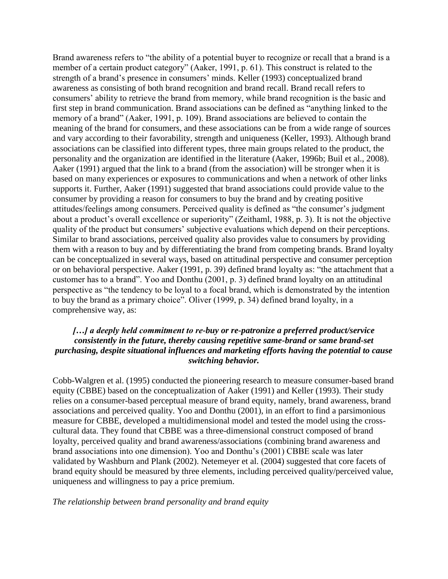Brand awareness refers to "the ability of a potential buyer to recognize or recall that a brand is a member of a certain product category" (Aaker, 1991, p. 61). This construct is related to the strength of a brand's presence in consumers' minds. Keller (1993) conceptualized brand awareness as consisting of both brand recognition and brand recall. Brand recall refers to consumers' ability to retrieve the brand from memory, while brand recognition is the basic and first step in brand communication. Brand associations can be defined as "anything linked to the memory of a brand" (Aaker, 1991, p. 109). Brand associations are believed to contain the meaning of the brand for consumers, and these associations can be from a wide range of sources and vary according to their favorability, strength and uniqueness (Keller, 1993). Although brand associations can be classified into different types, three main groups related to the product, the personality and the organization are identified in the literature (Aaker, 1996b; Buil et al., 2008). Aaker (1991) argued that the link to a brand (from the association) will be stronger when it is based on many experiences or exposures to communications and when a network of other links supports it. Further, Aaker (1991) suggested that brand associations could provide value to the consumer by providing a reason for consumers to buy the brand and by creating positive attitudes/feelings among consumers. Perceived quality is defined as "the consumer's judgment about a product's overall excellence or superiority" (Zeithaml, 1988, p. 3). It is not the objective quality of the product but consumers' subjective evaluations which depend on their perceptions. Similar to brand associations, perceived quality also provides value to consumers by providing them with a reason to buy and by differentiating the brand from competing brands. Brand loyalty can be conceptualized in several ways, based on attitudinal perspective and consumer perception or on behavioral perspective. Aaker (1991, p. 39) defined brand loyalty as: "the attachment that a customer has to a brand". Yoo and Donthu (2001, p. 3) defined brand loyalty on an attitudinal perspective as "the tendency to be loyal to a focal brand, which is demonstrated by the intention to buy the brand as a primary choice". Oliver (1999, p. 34) defined brand loyalty, in a comprehensive way, as:

### *[…] a deeply held commitment to re-buy or re-patronize a preferred product/service consistently in the future, thereby causing repetitive same-brand or same brand-set purchasing, despite situational influences and marketing efforts having the potential to cause switching behavior.*

Cobb-Walgren et al. (1995) conducted the pioneering research to measure consumer-based brand equity (CBBE) based on the conceptualization of Aaker (1991) and Keller (1993). Their study relies on a consumer-based perceptual measure of brand equity, namely, brand awareness, brand associations and perceived quality. Yoo and Donthu (2001), in an effort to find a parsimonious measure for CBBE, developed a multidimensional model and tested the model using the crosscultural data. They found that CBBE was a three-dimensional construct composed of brand loyalty, perceived quality and brand awareness/associations (combining brand awareness and brand associations into one dimension). Yoo and Donthu's (2001) CBBE scale was later validated by Washburn and Plank (2002). Netemeyer et al. (2004) suggested that core facets of brand equity should be measured by three elements, including perceived quality/perceived value, uniqueness and willingness to pay a price premium.

#### *The relationship between brand personality and brand equity*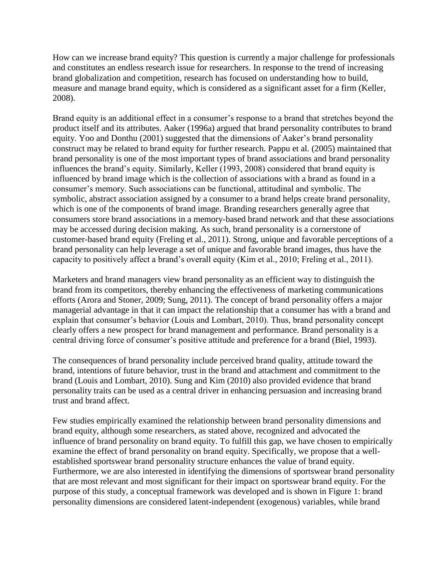How can we increase brand equity? This question is currently a major challenge for professionals and constitutes an endless research issue for researchers. In response to the trend of increasing brand globalization and competition, research has focused on understanding how to build, measure and manage brand equity, which is considered as a significant asset for a firm (Keller, 2008).

Brand equity is an additional effect in a consumer's response to a brand that stretches beyond the product itself and its attributes. Aaker (1996a) argued that brand personality contributes to brand equity. Yoo and Donthu (2001) suggested that the dimensions of Aaker's brand personality construct may be related to brand equity for further research. Pappu et al. (2005) maintained that brand personality is one of the most important types of brand associations and brand personality influences the brand's equity. Similarly, Keller (1993, 2008) considered that brand equity is influenced by brand image which is the collection of associations with a brand as found in a consumer's memory. Such associations can be functional, attitudinal and symbolic. The symbolic, abstract association assigned by a consumer to a brand helps create brand personality, which is one of the components of brand image. Branding researchers generally agree that consumers store brand associations in a memory-based brand network and that these associations may be accessed during decision making. As such, brand personality is a cornerstone of customer-based brand equity (Freling et al., 2011). Strong, unique and favorable perceptions of a brand personality can help leverage a set of unique and favorable brand images, thus have the capacity to positively affect a brand's overall equity (Kim et al., 2010; Freling et al., 2011).

Marketers and brand managers view brand personality as an efficient way to distinguish the brand from its competitors, thereby enhancing the effectiveness of marketing communications efforts (Arora and Stoner, 2009; Sung, 2011). The concept of brand personality offers a major managerial advantage in that it can impact the relationship that a consumer has with a brand and explain that consumer's behavior (Louis and Lombart, 2010). Thus, brand personality concept clearly offers a new prospect for brand management and performance. Brand personality is a central driving force of consumer's positive attitude and preference for a brand (Biel, 1993).

The consequences of brand personality include perceived brand quality, attitude toward the brand, intentions of future behavior, trust in the brand and attachment and commitment to the brand (Louis and Lombart, 2010). Sung and Kim (2010) also provided evidence that brand personality traits can be used as a central driver in enhancing persuasion and increasing brand trust and brand affect.

Few studies empirically examined the relationship between brand personality dimensions and brand equity, although some researchers, as stated above, recognized and advocated the influence of brand personality on brand equity. To fulfill this gap, we have chosen to empirically examine the effect of brand personality on brand equity. Specifically, we propose that a wellestablished sportswear brand personality structure enhances the value of brand equity. Furthermore, we are also interested in identifying the dimensions of sportswear brand personality that are most relevant and most significant for their impact on sportswear brand equity. For the purpose of this study, a conceptual framework was developed and is shown in Figure 1: brand personality dimensions are considered latent-independent (exogenous) variables, while brand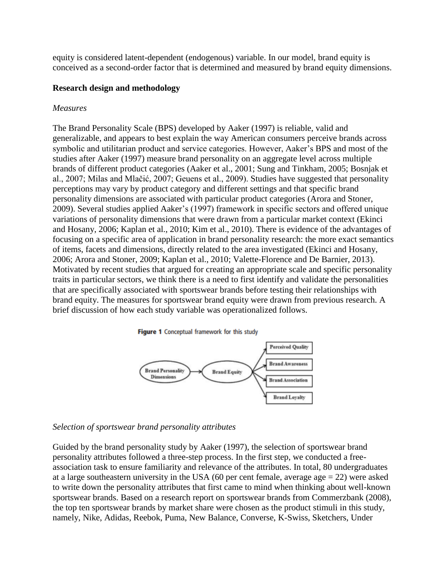equity is considered latent-dependent (endogenous) variable. In our model, brand equity is conceived as a second-order factor that is determined and measured by brand equity dimensions.

## **Research design and methodology**

## *Measures*

The Brand Personality Scale (BPS) developed by Aaker (1997) is reliable, valid and generalizable, and appears to best explain the way American consumers perceive brands across symbolic and utilitarian product and service categories. However, Aaker's BPS and most of the studies after Aaker (1997) measure brand personality on an aggregate level across multiple brands of different product categories (Aaker et al., 2001; Sung and Tinkham, 2005; Bosnjak et al., 2007; Milas and Mlačić, 2007; Geuens et al., 2009). Studies have suggested that personality perceptions may vary by product category and different settings and that specific brand personality dimensions are associated with particular product categories (Arora and Stoner, 2009). Several studies applied Aaker's (1997) framework in specific sectors and offered unique variations of personality dimensions that were drawn from a particular market context (Ekinci and Hosany, 2006; Kaplan et al., 2010; Kim et al., 2010). There is evidence of the advantages of focusing on a specific area of application in brand personality research: the more exact semantics of items, facets and dimensions, directly related to the area investigated (Ekinci and Hosany, 2006; Arora and Stoner, 2009; Kaplan et al., 2010; Valette-Florence and De Barnier, 2013). Motivated by recent studies that argued for creating an appropriate scale and specific personality traits in particular sectors, we think there is a need to first identify and validate the personalities that are specifically associated with sportswear brands before testing their relationships with brand equity. The measures for sportswear brand equity were drawn from previous research. A brief discussion of how each study variable was operationalized follows.

#### Figure 1 Conceptual framework for this study



### *Selection of sportswear brand personality attributes*

Guided by the brand personality study by Aaker (1997), the selection of sportswear brand personality attributes followed a three-step process. In the first step, we conducted a freeassociation task to ensure familiarity and relevance of the attributes. In total, 80 undergraduates at a large southeastern university in the USA (60 per cent female, average age  $= 22$ ) were asked to write down the personality attributes that first came to mind when thinking about well-known sportswear brands. Based on a research report on sportswear brands from Commerzbank (2008), the top ten sportswear brands by market share were chosen as the product stimuli in this study, namely, Nike, Adidas, Reebok, Puma, New Balance, Converse, K-Swiss, Sketchers, Under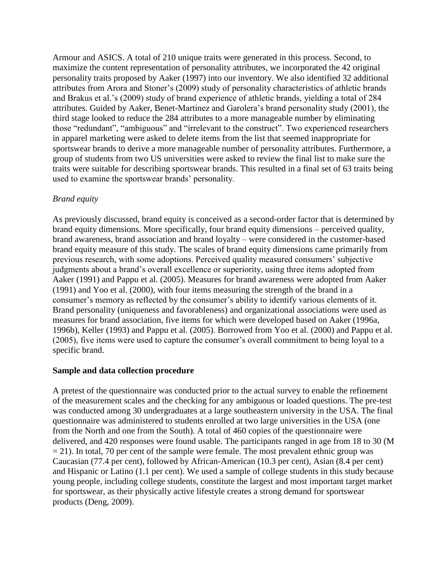Armour and ASICS. A total of 210 unique traits were generated in this process. Second, to maximize the content representation of personality attributes, we incorporated the 42 original personality traits proposed by Aaker (1997) into our inventory. We also identified 32 additional attributes from Arora and Stoner's (2009) study of personality characteristics of athletic brands and Brakus et al.'s (2009) study of brand experience of athletic brands, yielding a total of 284 attributes. Guided by Aaker, Benet-Martinez and Garolera's brand personality study (2001), the third stage looked to reduce the 284 attributes to a more manageable number by eliminating those "redundant", "ambiguous" and "irrelevant to the construct". Two experienced researchers in apparel marketing were asked to delete items from the list that seemed inappropriate for sportswear brands to derive a more manageable number of personality attributes. Furthermore, a group of students from two US universities were asked to review the final list to make sure the traits were suitable for describing sportswear brands. This resulted in a final set of 63 traits being used to examine the sportswear brands' personality.

### *Brand equity*

As previously discussed, brand equity is conceived as a second-order factor that is determined by brand equity dimensions. More specifically, four brand equity dimensions – perceived quality, brand awareness, brand association and brand loyalty – were considered in the customer-based brand equity measure of this study. The scales of brand equity dimensions came primarily from previous research, with some adoptions. Perceived quality measured consumers' subjective judgments about a brand's overall excellence or superiority, using three items adopted from Aaker (1991) and Pappu et al. (2005). Measures for brand awareness were adopted from Aaker (1991) and Yoo et al. (2000), with four items measuring the strength of the brand in a consumer's memory as reflected by the consumer's ability to identify various elements of it. Brand personality (uniqueness and favorableness) and organizational associations were used as measures for brand association, five items for which were developed based on Aaker (1996a, 1996b), Keller (1993) and Pappu et al. (2005). Borrowed from Yoo et al. (2000) and Pappu et al. (2005), five items were used to capture the consumer's overall commitment to being loyal to a specific brand.

### **Sample and data collection procedure**

A pretest of the questionnaire was conducted prior to the actual survey to enable the refinement of the measurement scales and the checking for any ambiguous or loaded questions. The pre-test was conducted among 30 undergraduates at a large southeastern university in the USA. The final questionnaire was administered to students enrolled at two large universities in the USA (one from the North and one from the South). A total of 460 copies of the questionnaire were delivered, and 420 responses were found usable. The participants ranged in age from 18 to 30 (M  $= 21$ ). In total, 70 per cent of the sample were female. The most prevalent ethnic group was Caucasian (77.4 per cent), followed by African-American (10.3 per cent), Asian (8.4 per cent) and Hispanic or Latino (1.1 per cent). We used a sample of college students in this study because young people, including college students, constitute the largest and most important target market for sportswear, as their physically active lifestyle creates a strong demand for sportswear products (Deng, 2009).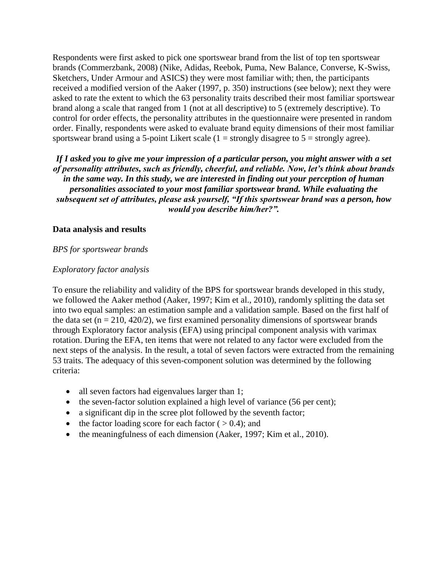Respondents were first asked to pick one sportswear brand from the list of top ten sportswear brands (Commerzbank, 2008) (Nike, Adidas, Reebok, Puma, New Balance, Converse, K-Swiss, Sketchers, Under Armour and ASICS) they were most familiar with; then, the participants received a modified version of the Aaker (1997, p. 350) instructions (see below); next they were asked to rate the extent to which the 63 personality traits described their most familiar sportswear brand along a scale that ranged from 1 (not at all descriptive) to 5 (extremely descriptive). To control for order effects, the personality attributes in the questionnaire were presented in random order. Finally, respondents were asked to evaluate brand equity dimensions of their most familiar sportswear brand using a 5-point Likert scale  $(1 =$  strongly disagree to  $5 =$  strongly agree).

*If I asked you to give me your impression of a particular person, you might answer with a set of personality attributes, such as friendly, cheerful, and reliable. Now, let's think about brands in the same way. In this study, we are interested in finding out your perception of human personalities associated to your most familiar sportswear brand. While evaluating the subsequent set of attributes, please ask yourself, "If this sportswear brand was a person, how would you describe him/her?".*

### **Data analysis and results**

#### *BPS for sportswear brands*

#### *Exploratory factor analysis*

To ensure the reliability and validity of the BPS for sportswear brands developed in this study, we followed the Aaker method (Aaker, 1997; Kim et al., 2010), randomly splitting the data set into two equal samples: an estimation sample and a validation sample. Based on the first half of the data set  $(n = 210, 420/2)$ , we first examined personality dimensions of sportswear brands through Exploratory factor analysis (EFA) using principal component analysis with varimax rotation. During the EFA, ten items that were not related to any factor were excluded from the next steps of the analysis. In the result, a total of seven factors were extracted from the remaining 53 traits. The adequacy of this seven-component solution was determined by the following criteria:

- all seven factors had eigenvalues larger than 1;
- $\bullet$  the seven-factor solution explained a high level of variance (56 per cent);
- a significant dip in the scree plot followed by the seventh factor;
- the factor loading score for each factor  $( > 0.4)$ ; and
- the meaningfulness of each dimension (Aaker, 1997; Kim et al., 2010).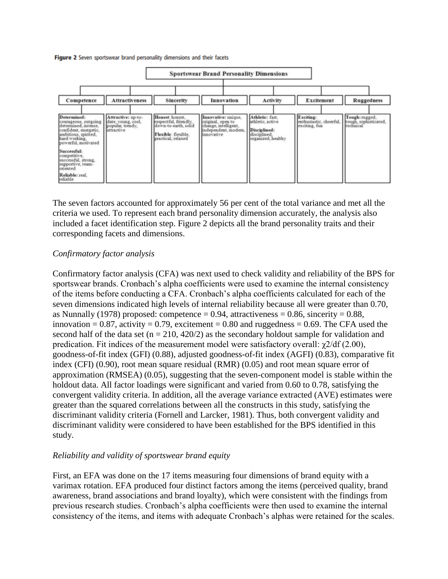Figure 2 Seven sportswear brand personality dimensions and their facets



The seven factors accounted for approximately 56 per cent of the total variance and met all the criteria we used. To represent each brand personality dimension accurately, the analysis also included a facet identification step. Figure 2 depicts all the brand personality traits and their corresponding facets and dimensions.

#### *Confirmatory factor analysis*

Confirmatory factor analysis (CFA) was next used to check validity and reliability of the BPS for sportswear brands. Cronbach's alpha coefficients were used to examine the internal consistency of the items before conducting a CFA. Cronbach's alpha coefficients calculated for each of the seven dimensions indicated high levels of internal reliability because all were greater than 0.70, as Nunnally (1978) proposed: competence = 0.94, attractiveness = 0.86, sincerity = 0.88, innovation = 0.87, activity = 0.79, excitement = 0.80 and ruggedness = 0.69. The CFA used the second half of the data set ( $n = 210, 420/2$ ) as the secondary holdout sample for validation and predication. Fit indices of the measurement model were satisfactory overall:  $\gamma$ 2/df (2.00), goodness-of-fit index (GFI) (0.88), adjusted goodness-of-fit index (AGFI) (0.83), comparative fit index (CFI) (0.90), root mean square residual (RMR) (0.05) and root mean square error of approximation (RMSEA) (0.05), suggesting that the seven-component model is stable within the holdout data. All factor loadings were significant and varied from 0.60 to 0.78, satisfying the convergent validity criteria. In addition, all the average variance extracted (AVE) estimates were greater than the squared correlations between all the constructs in this study, satisfying the discriminant validity criteria (Fornell and Larcker, 1981). Thus, both convergent validity and discriminant validity were considered to have been established for the BPS identified in this study.

#### *Reliability and validity of sportswear brand equity*

First, an EFA was done on the 17 items measuring four dimensions of brand equity with a varimax rotation. EFA produced four distinct factors among the items (perceived quality, brand awareness, brand associations and brand loyalty), which were consistent with the findings from previous research studies. Cronbach's alpha coefficients were then used to examine the internal consistency of the items, and items with adequate Cronbach's alphas were retained for the scales.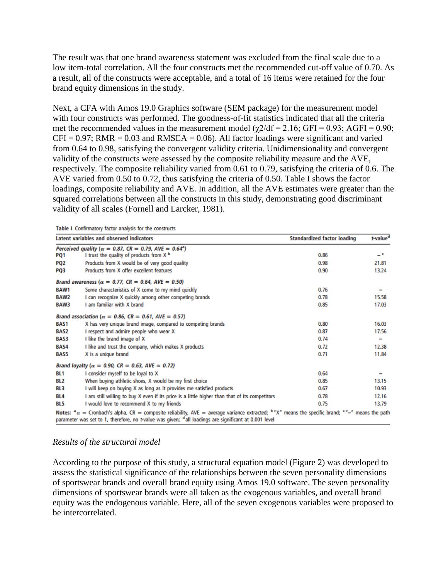The result was that one brand awareness statement was excluded from the final scale due to a low item-total correlation. All the four constructs met the recommended cut-off value of 0.70. As a result, all of the constructs were acceptable, and a total of 16 items were retained for the four brand equity dimensions in the study.

Next, a CFA with Amos 19.0 Graphics software (SEM package) for the measurement model with four constructs was performed. The goodness-of-fit statistics indicated that all the criteria met the recommended values in the measurement model ( $\chi$ 2/df = 2.16; GFI = 0.93; AGFI = 0.90;  $CFI = 0.97$ ; RMR = 0.03 and RMSEA = 0.06). All factor loadings were significant and varied from 0.64 to 0.98, satisfying the convergent validity criteria. Unidimensionality and convergent validity of the constructs were assessed by the composite reliability measure and the AVE, respectively. The composite reliability varied from 0.61 to 0.79, satisfying the criteria of 0.6. The AVE varied from 0.50 to 0.72, thus satisfying the criteria of 0.50. Table I shows the factor loadings, composite reliability and AVE. In addition, all the AVE estimates were greater than the squared correlations between all the constructs in this study, demonstrating good discriminant validity of all scales (Fornell and Larcker, 1981).

|  | Table I Confirmatory factor analysis for the constructs |  |  |  |  |  |
|--|---------------------------------------------------------|--|--|--|--|--|
|--|---------------------------------------------------------|--|--|--|--|--|

|                 | Latent variables and observed indicators                                                                                                                                                                                                                                  | <b>Standardized factor loading</b> | t-value <sup>d</sup> |  |
|-----------------|---------------------------------------------------------------------------------------------------------------------------------------------------------------------------------------------------------------------------------------------------------------------------|------------------------------------|----------------------|--|
|                 | Perceived quality ( $\alpha = 0.87$ , CR = 0.79, AVE = 0.64 <sup>a</sup> )                                                                                                                                                                                                |                                    |                      |  |
| PQ1             | I trust the quality of products from X b                                                                                                                                                                                                                                  | 0.86                               | – c                  |  |
| PQ <sub>2</sub> | Products from X would be of very good quality                                                                                                                                                                                                                             | 0.98                               | 21.81                |  |
| PQ3             | Products from X offer excellent features                                                                                                                                                                                                                                  | 0.90                               | 13.24                |  |
|                 | Brand awareness ( $\alpha = 0.77$ , CR = 0.64, AVE = 0.50)                                                                                                                                                                                                                |                                    |                      |  |
| <b>BAW1</b>     | Some characteristics of X come to my mind quickly                                                                                                                                                                                                                         | 0.76                               | -                    |  |
| <b>BAW2</b>     | I can recognize X quickly among other competing brands                                                                                                                                                                                                                    | 0.78                               | 15.58                |  |
| <b>BAW3</b>     | I am familiar with X brand                                                                                                                                                                                                                                                | 0.85                               | 17.03                |  |
|                 | Brand association ( $\alpha = 0.86$ , CR = 0.61, AVE = 0.57)                                                                                                                                                                                                              |                                    |                      |  |
| BAS1            | X has very unique brand image, compared to competing brands                                                                                                                                                                                                               | 0.80                               | 16.03                |  |
| <b>BAS2</b>     | I respect and admire people who wear X                                                                                                                                                                                                                                    | 0.87                               | 17.56                |  |
| <b>BAS3</b>     | I like the brand image of X                                                                                                                                                                                                                                               | 0.74                               | -                    |  |
| BAS4            | I like and trust the company, which makes X products                                                                                                                                                                                                                      | 0.72                               | 12.38                |  |
| <b>BAS5</b>     | X is a unique brand                                                                                                                                                                                                                                                       | 0.71                               | 11.84                |  |
|                 | Brand loyalty ( $\alpha = 0.90$ , CR = 0.63, AVE = 0.72)                                                                                                                                                                                                                  |                                    |                      |  |
| BL1             | I consider myself to be loyal to X                                                                                                                                                                                                                                        | 0.64                               |                      |  |
| BL <sub>2</sub> | When buying athletic shoes, X would be my first choice                                                                                                                                                                                                                    | 0.85                               | 13.15                |  |
| BL3             | I will keep on buying X as long as it provides me satisfied products                                                                                                                                                                                                      | 0.67                               | 10.93                |  |
| BL4             | I am still willing to buy X even if its price is a little higher than that of its competitors                                                                                                                                                                             | 0.78                               | 12.16                |  |
| BL5             | I would love to recommend X to my friends                                                                                                                                                                                                                                 | 0.75                               | 13.79                |  |
|                 | Notes: $a_{\alpha}$ = Cronbach's alpha, CR = composite reliability, AVE = average variance extracted; $b^*X^*$ means the specific brand; $c^*$ -" means the path<br>parameter was set to 1, therefore, no t-value was given; dall loadings are significant at 0.001 level |                                    |                      |  |

#### *Results of the structural model*

According to the purpose of this study, a structural equation model (Figure 2) was developed to assess the statistical significance of the relationships between the seven personality dimensions of sportswear brands and overall brand equity using Amos 19.0 software. The seven personality dimensions of sportswear brands were all taken as the exogenous variables, and overall brand equity was the endogenous variable. Here, all of the seven exogenous variables were proposed to be intercorrelated.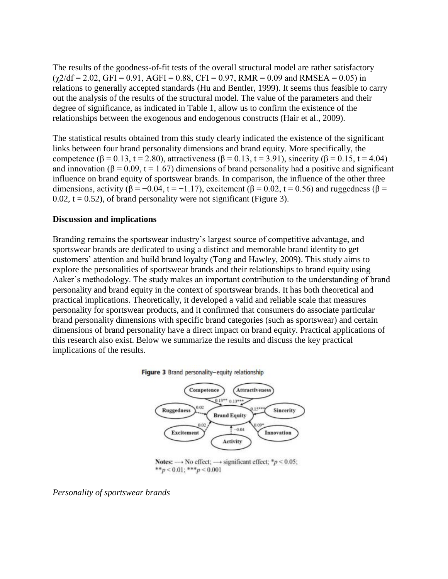The results of the goodness-of-fit tests of the overall structural model are rather satisfactory  $(\gamma 2/df = 2.02, GFI = 0.91, AGFI = 0.88, CFI = 0.97, RMR = 0.09$  and RMSEA = 0.05) in relations to generally accepted standards (Hu and Bentler, 1999). It seems thus feasible to carry out the analysis of the results of the structural model. The value of the parameters and their degree of significance, as indicated in Table 1, allow us to confirm the existence of the relationships between the exogenous and endogenous constructs (Hair et al., 2009).

The statistical results obtained from this study clearly indicated the existence of the significant links between four brand personality dimensions and brand equity. More specifically, the competence (β = 0.13, t = 2.80), attractiveness (β = 0.13, t = 3.91), sincerity (β = 0.15, t = 4.04) and innovation ( $\beta$  = 0.09, t = 1.67) dimensions of brand personality had a positive and significant influence on brand equity of sportswear brands. In comparison, the influence of the other three dimensions, activity ( $\beta = -0.04$ , t = -1.17), excitement ( $\beta = 0.02$ , t = 0.56) and ruggedness ( $\beta$  = 0.02,  $t = 0.52$ ), of brand personality were not significant (Figure 3).

### **Discussion and implications**

Branding remains the sportswear industry's largest source of competitive advantage, and sportswear brands are dedicated to using a distinct and memorable brand identity to get customers' attention and build brand loyalty (Tong and Hawley, 2009). This study aims to explore the personalities of sportswear brands and their relationships to brand equity using Aaker's methodology. The study makes an important contribution to the understanding of brand personality and brand equity in the context of sportswear brands. It has both theoretical and practical implications. Theoretically, it developed a valid and reliable scale that measures personality for sportswear products, and it confirmed that consumers do associate particular brand personality dimensions with specific brand categories (such as sportswear) and certain dimensions of brand personality have a direct impact on brand equity. Practical applications of this research also exist. Below we summarize the results and discuss the key practical implications of the results.





Notes:  $\rightarrow$  No effect;  $\rightarrow$  significant effect;  $p < 0.05$ ; \*\* $p < 0.01$ ; \*\*\* $p < 0.001$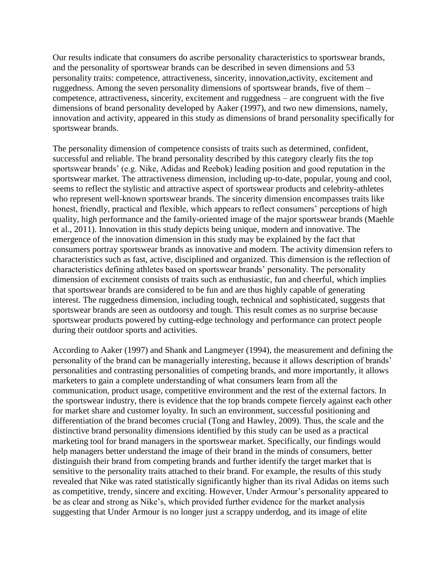Our results indicate that consumers do ascribe personality characteristics to sportswear brands, and the personality of sportswear brands can be described in seven dimensions and 53 personality traits: competence, attractiveness, sincerity, innovation,activity, excitement and ruggedness. Among the seven personality dimensions of sportswear brands, five of them – competence, attractiveness, sincerity, excitement and ruggedness – are congruent with the five dimensions of brand personality developed by Aaker (1997), and two new dimensions, namely, innovation and activity, appeared in this study as dimensions of brand personality specifically for sportswear brands.

The personality dimension of competence consists of traits such as determined, confident, successful and reliable. The brand personality described by this category clearly fits the top sportswear brands' (e.g. Nike, Adidas and Reebok) leading position and good reputation in the sportswear market. The attractiveness dimension, including up-to-date, popular, young and cool, seems to reflect the stylistic and attractive aspect of sportswear products and celebrity-athletes who represent well-known sportswear brands. The sincerity dimension encompasses traits like honest, friendly, practical and flexible, which appears to reflect consumers' perceptions of high quality, high performance and the family-oriented image of the major sportswear brands (Maehle et al., 2011). Innovation in this study depicts being unique, modern and innovative. The emergence of the innovation dimension in this study may be explained by the fact that consumers portray sportswear brands as innovative and modern. The activity dimension refers to characteristics such as fast, active, disciplined and organized. This dimension is the reflection of characteristics defining athletes based on sportswear brands' personality. The personality dimension of excitement consists of traits such as enthusiastic, fun and cheerful, which implies that sportswear brands are considered to be fun and are thus highly capable of generating interest. The ruggedness dimension, including tough, technical and sophisticated, suggests that sportswear brands are seen as outdoorsy and tough. This result comes as no surprise because sportswear products powered by cutting-edge technology and performance can protect people during their outdoor sports and activities.

According to Aaker (1997) and Shank and Langmeyer (1994), the measurement and defining the personality of the brand can be managerially interesting, because it allows description of brands' personalities and contrasting personalities of competing brands, and more importantly, it allows marketers to gain a complete understanding of what consumers learn from all the communication, product usage, competitive environment and the rest of the external factors. In the sportswear industry, there is evidence that the top brands compete fiercely against each other for market share and customer loyalty. In such an environment, successful positioning and differentiation of the brand becomes crucial (Tong and Hawley, 2009). Thus, the scale and the distinctive brand personality dimensions identified by this study can be used as a practical marketing tool for brand managers in the sportswear market. Specifically, our findings would help managers better understand the image of their brand in the minds of consumers, better distinguish their brand from competing brands and further identify the target market that is sensitive to the personality traits attached to their brand. For example, the results of this study revealed that Nike was rated statistically significantly higher than its rival Adidas on items such as competitive, trendy, sincere and exciting. However, Under Armour's personality appeared to be as clear and strong as Nike's, which provided further evidence for the market analysis suggesting that Under Armour is no longer just a scrappy underdog, and its image of elite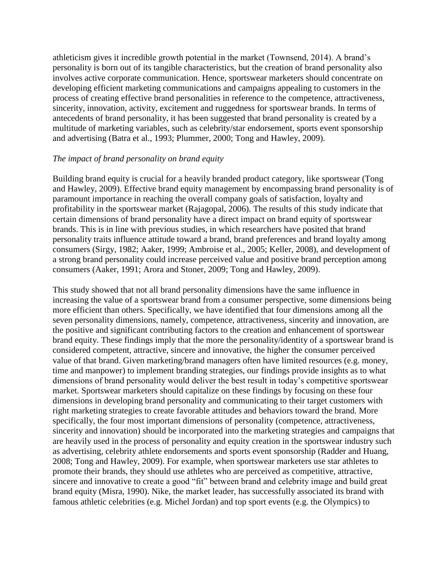athleticism gives it incredible growth potential in the market (Townsend, 2014). A brand's personality is born out of its tangible characteristics, but the creation of brand personality also involves active corporate communication. Hence, sportswear marketers should concentrate on developing efficient marketing communications and campaigns appealing to customers in the process of creating effective brand personalities in reference to the competence, attractiveness, sincerity, innovation, activity, excitement and ruggedness for sportswear brands. In terms of antecedents of brand personality, it has been suggested that brand personality is created by a multitude of marketing variables, such as celebrity/star endorsement, sports event sponsorship and advertising (Batra et al., 1993; Plummer, 2000; Tong and Hawley, 2009).

### *The impact of brand personality on brand equity*

Building brand equity is crucial for a heavily branded product category, like sportswear (Tong and Hawley, 2009). Effective brand equity management by encompassing brand personality is of paramount importance in reaching the overall company goals of satisfaction, loyalty and profitability in the sportswear market (Rajagopal, 2006). The results of this study indicate that certain dimensions of brand personality have a direct impact on brand equity of sportswear brands. This is in line with previous studies, in which researchers have posited that brand personality traits influence attitude toward a brand, brand preferences and brand loyalty among consumers (Sirgy, 1982; Aaker, 1999; Ambroise et al., 2005; Keller, 2008), and development of a strong brand personality could increase perceived value and positive brand perception among consumers (Aaker, 1991; Arora and Stoner, 2009; Tong and Hawley, 2009).

This study showed that not all brand personality dimensions have the same influence in increasing the value of a sportswear brand from a consumer perspective, some dimensions being more efficient than others. Specifically, we have identified that four dimensions among all the seven personality dimensions, namely, competence, attractiveness, sincerity and innovation, are the positive and significant contributing factors to the creation and enhancement of sportswear brand equity. These findings imply that the more the personality/identity of a sportswear brand is considered competent, attractive, sincere and innovative, the higher the consumer perceived value of that brand. Given marketing/brand managers often have limited resources (e.g. money, time and manpower) to implement branding strategies, our findings provide insights as to what dimensions of brand personality would deliver the best result in today's competitive sportswear market. Sportswear marketers should capitalize on these findings by focusing on these four dimensions in developing brand personality and communicating to their target customers with right marketing strategies to create favorable attitudes and behaviors toward the brand. More specifically, the four most important dimensions of personality (competence, attractiveness, sincerity and innovation) should be incorporated into the marketing strategies and campaigns that are heavily used in the process of personality and equity creation in the sportswear industry such as advertising, celebrity athlete endorsements and sports event sponsorship (Radder and Huang, 2008; Tong and Hawley, 2009). For example, when sportswear marketers use star athletes to promote their brands, they should use athletes who are perceived as competitive, attractive, sincere and innovative to create a good "fit" between brand and celebrity image and build great brand equity (Misra, 1990). Nike, the market leader, has successfully associated its brand with famous athletic celebrities (e.g. Michel Jordan) and top sport events (e.g. the Olympics) to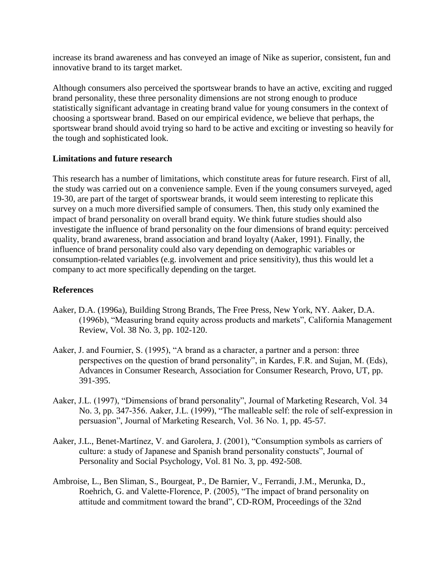increase its brand awareness and has conveyed an image of Nike as superior, consistent, fun and innovative brand to its target market.

Although consumers also perceived the sportswear brands to have an active, exciting and rugged brand personality, these three personality dimensions are not strong enough to produce statistically significant advantage in creating brand value for young consumers in the context of choosing a sportswear brand. Based on our empirical evidence, we believe that perhaps, the sportswear brand should avoid trying so hard to be active and exciting or investing so heavily for the tough and sophisticated look.

## **Limitations and future research**

This research has a number of limitations, which constitute areas for future research. First of all, the study was carried out on a convenience sample. Even if the young consumers surveyed, aged 19-30, are part of the target of sportswear brands, it would seem interesting to replicate this survey on a much more diversified sample of consumers. Then, this study only examined the impact of brand personality on overall brand equity. We think future studies should also investigate the influence of brand personality on the four dimensions of brand equity: perceived quality, brand awareness, brand association and brand loyalty (Aaker, 1991). Finally, the influence of brand personality could also vary depending on demographic variables or consumption-related variables (e.g. involvement and price sensitivity), thus this would let a company to act more specifically depending on the target.

# **References**

- Aaker, D.A. (1996a), Building Strong Brands, The Free Press, New York, NY. Aaker, D.A. (1996b), "Measuring brand equity across products and markets", California Management Review, Vol. 38 No. 3, pp. 102-120.
- Aaker, J. and Fournier, S. (1995), "A brand as a character, a partner and a person: three perspectives on the question of brand personality", in Kardes, F.R. and Sujan, M. (Eds), Advances in Consumer Research, Association for Consumer Research, Provo, UT, pp. 391-395.
- Aaker, J.L. (1997), "Dimensions of brand personality", Journal of Marketing Research, Vol. 34 No. 3, pp. 347-356. Aaker, J.L. (1999), "The malleable self: the role of self-expression in persuasion", Journal of Marketing Research, Vol. 36 No. 1, pp. 45-57.
- Aaker, J.L., Benet-Martínez, V. and Garolera, J. (2001), "Consumption symbols as carriers of culture: a study of Japanese and Spanish brand personality constucts", Journal of Personality and Social Psychology, Vol. 81 No. 3, pp. 492-508.
- Ambroise, L., Ben Sliman, S., Bourgeat, P., De Barnier, V., Ferrandi, J.M., Merunka, D., Roehrich, G. and Valette-Florence, P. (2005), "The impact of brand personality on attitude and commitment toward the brand", CD-ROM, Proceedings of the 32nd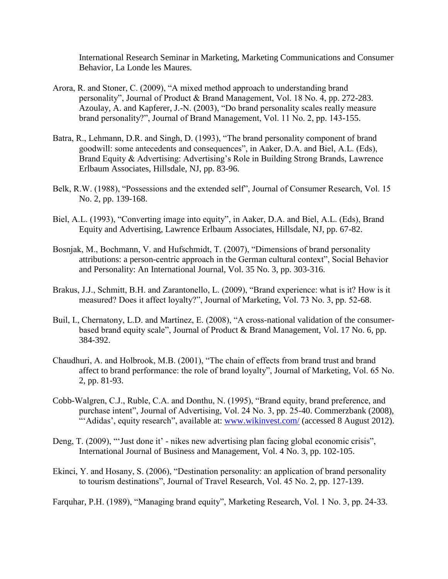International Research Seminar in Marketing, Marketing Communications and Consumer Behavior, La Londe les Maures.

- Arora, R. and Stoner, C. (2009), "A mixed method approach to understanding brand personality", Journal of Product & Brand Management, Vol. 18 No. 4, pp. 272-283. Azoulay, A. and Kapferer, J.-N. (2003), "Do brand personality scales really measure brand personality?", Journal of Brand Management, Vol. 11 No. 2, pp. 143-155.
- Batra, R., Lehmann, D.R. and Singh, D. (1993), "The brand personality component of brand goodwill: some antecedents and consequences", in Aaker, D.A. and Biel, A.L. (Eds), Brand Equity & Advertising: Advertising's Role in Building Strong Brands, Lawrence Erlbaum Associates, Hillsdale, NJ, pp. 83-96.
- Belk, R.W. (1988), "Possessions and the extended self", Journal of Consumer Research, Vol. 15 No. 2, pp. 139-168.
- Biel, A.L. (1993), "Converting image into equity", in Aaker, D.A. and Biel, A.L. (Eds), Brand Equity and Advertising, Lawrence Erlbaum Associates, Hillsdale, NJ, pp. 67-82.
- Bosnjak, M., Bochmann, V. and Hufschmidt, T. (2007), "Dimensions of brand personality attributions: a person-centric approach in the German cultural context", Social Behavior and Personality: An International Journal, Vol. 35 No. 3, pp. 303-316.
- Brakus, J.J., Schmitt, B.H. and Zarantonello, L. (2009), "Brand experience: what is it? How is it measured? Does it affect loyalty?", Journal of Marketing, Vol. 73 No. 3, pp. 52-68.
- Buil, I., Chernatony, L.D. and Martínez, E. (2008), "A cross-national validation of the consumerbased brand equity scale", Journal of Product & Brand Management, Vol. 17 No. 6, pp. 384-392.
- Chaudhuri, A. and Holbrook, M.B. (2001), "The chain of effects from brand trust and brand affect to brand performance: the role of brand loyalty", Journal of Marketing, Vol. 65 No. 2, pp. 81-93.
- Cobb-Walgren, C.J., Ruble, C.A. and Donthu, N. (1995), "Brand equity, brand preference, and purchase intent", Journal of Advertising, Vol. 24 No. 3, pp. 25-40. Commerzbank (2008), "'Adidas', equity research", available at: [www.wikinvest.com/](http://www.wikinvest.com/) (accessed 8 August 2012).
- Deng, T. (2009), "'Just done it' nikes new advertising plan facing global economic crisis", International Journal of Business and Management, Vol. 4 No. 3, pp. 102-105.
- Ekinci, Y. and Hosany, S. (2006), "Destination personality: an application of brand personality to tourism destinations", Journal of Travel Research, Vol. 45 No. 2, pp. 127-139.

Farquhar, P.H. (1989), "Managing brand equity", Marketing Research, Vol. 1 No. 3, pp. 24-33.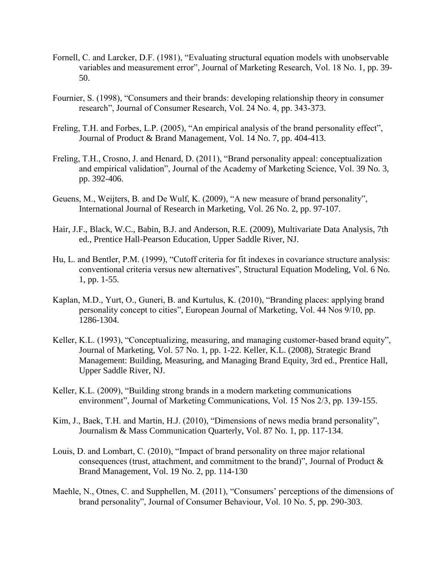- Fornell, C. and Larcker, D.F. (1981), "Evaluating structural equation models with unobservable variables and measurement error", Journal of Marketing Research, Vol. 18 No. 1, pp. 39- 50.
- Fournier, S. (1998), "Consumers and their brands: developing relationship theory in consumer research", Journal of Consumer Research, Vol. 24 No. 4, pp. 343-373.
- Freling, T.H. and Forbes, L.P. (2005), "An empirical analysis of the brand personality effect", Journal of Product & Brand Management, Vol. 14 No. 7, pp. 404-413.
- Freling, T.H., Crosno, J. and Henard, D. (2011), "Brand personality appeal: conceptualization and empirical validation", Journal of the Academy of Marketing Science, Vol. 39 No. 3, pp. 392-406.
- Geuens, M., Weijters, B. and De Wulf, K. (2009), "A new measure of brand personality", International Journal of Research in Marketing, Vol. 26 No. 2, pp. 97-107.
- Hair, J.F., Black, W.C., Babin, B.J. and Anderson, R.E. (2009), Multivariate Data Analysis, 7th ed., Prentice Hall-Pearson Education, Upper Saddle River, NJ.
- Hu, L. and Bentler, P.M. (1999), "Cutoff criteria for fit indexes in covariance structure analysis: conventional criteria versus new alternatives", Structural Equation Modeling, Vol. 6 No. 1, pp. 1-55.
- Kaplan, M.D., Yurt, O., Guneri, B. and Kurtulus, K. (2010), "Branding places: applying brand personality concept to cities", European Journal of Marketing, Vol. 44 Nos 9/10, pp. 1286-1304.
- Keller, K.L. (1993), "Conceptualizing, measuring, and managing customer-based brand equity", Journal of Marketing, Vol. 57 No. 1, pp. 1-22. Keller, K.L. (2008), Strategic Brand Management: Building, Measuring, and Managing Brand Equity, 3rd ed., Prentice Hall, Upper Saddle River, NJ.
- Keller, K.L. (2009), "Building strong brands in a modern marketing communications environment", Journal of Marketing Communications, Vol. 15 Nos 2/3, pp. 139-155.
- Kim, J., Baek, T.H. and Martin, H.J. (2010), "Dimensions of news media brand personality", Journalism & Mass Communication Quarterly, Vol. 87 No. 1, pp. 117-134.
- Louis, D. and Lombart, C. (2010), "Impact of brand personality on three major relational consequences (trust, attachment, and commitment to the brand)", Journal of Product & Brand Management, Vol. 19 No. 2, pp. 114-130
- Maehle, N., Otnes, C. and Supphellen, M. (2011), "Consumers' perceptions of the dimensions of brand personality", Journal of Consumer Behaviour, Vol. 10 No. 5, pp. 290-303.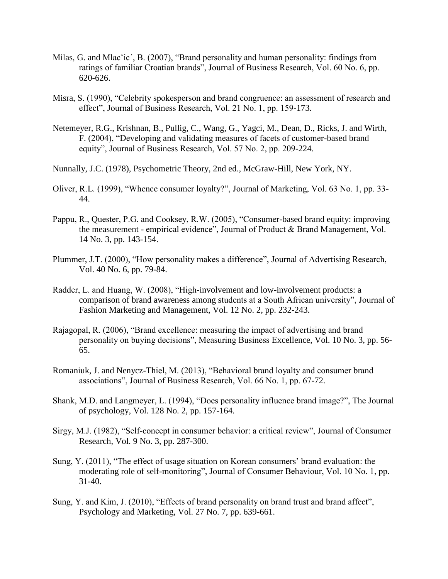- Milas, G. and Mlac<sup>x</sup>ic<sup>'</sup>, B. (2007), "Brand personality and human personality: findings from ratings of familiar Croatian brands", Journal of Business Research, Vol. 60 No. 6, pp. 620-626.
- Misra, S. (1990), "Celebrity spokesperson and brand congruence: an assessment of research and effect", Journal of Business Research, Vol. 21 No. 1, pp. 159-173.
- Netemeyer, R.G., Krishnan, B., Pullig, C., Wang, G., Yagci, M., Dean, D., Ricks, J. and Wirth, F. (2004), "Developing and validating measures of facets of customer-based brand equity", Journal of Business Research, Vol. 57 No. 2, pp. 209-224.
- Nunnally, J.C. (1978), Psychometric Theory, 2nd ed., McGraw-Hill, New York, NY.
- Oliver, R.L. (1999), "Whence consumer loyalty?", Journal of Marketing, Vol. 63 No. 1, pp. 33- 44.
- Pappu, R., Quester, P.G. and Cooksey, R.W. (2005), "Consumer-based brand equity: improving the measurement - empirical evidence", Journal of Product & Brand Management, Vol. 14 No. 3, pp. 143-154.
- Plummer, J.T. (2000), "How personality makes a difference", Journal of Advertising Research, Vol. 40 No. 6, pp. 79-84.
- Radder, L. and Huang, W. (2008), "High-involvement and low-involvement products: a comparison of brand awareness among students at a South African university", Journal of Fashion Marketing and Management, Vol. 12 No. 2, pp. 232-243.
- Rajagopal, R. (2006), "Brand excellence: measuring the impact of advertising and brand personality on buying decisions", Measuring Business Excellence, Vol. 10 No. 3, pp. 56- 65.
- Romaniuk, J. and Nenycz-Thiel, M. (2013), "Behavioral brand loyalty and consumer brand associations", Journal of Business Research, Vol. 66 No. 1, pp. 67-72.
- Shank, M.D. and Langmeyer, L. (1994), "Does personality influence brand image?", The Journal of psychology, Vol. 128 No. 2, pp. 157-164.
- Sirgy, M.J. (1982), "Self-concept in consumer behavior: a critical review", Journal of Consumer Research, Vol. 9 No. 3, pp. 287-300.
- Sung, Y. (2011), "The effect of usage situation on Korean consumers' brand evaluation: the moderating role of self-monitoring", Journal of Consumer Behaviour, Vol. 10 No. 1, pp. 31-40.
- Sung, Y. and Kim, J. (2010), "Effects of brand personality on brand trust and brand affect", Psychology and Marketing, Vol. 27 No. 7, pp. 639-661.